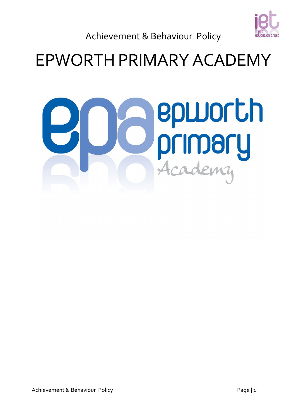

Achievement & Behaviour Policy

# EPWORTH PRIMARY ACADEMY

# epworth 6 **Primary**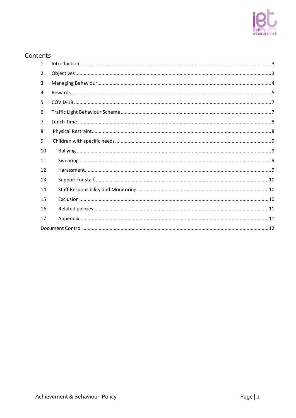# Contents

| $\mathbf{1}$ |  |
|--------------|--|
| 2            |  |
| 3            |  |
| 4            |  |
| 5            |  |
| 6            |  |
| 7            |  |
| 8            |  |
| 9            |  |
| 10           |  |
| 11           |  |
| 12           |  |
| 13           |  |
| 14           |  |
| 15           |  |
| 16           |  |
| 17           |  |
|              |  |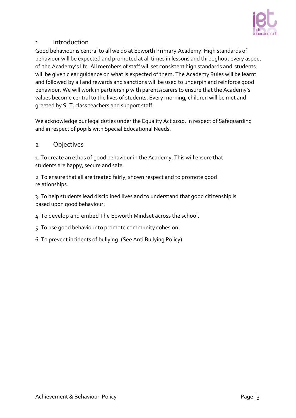

### <span id="page-2-0"></span>1 Introduction

Good behaviour is central to all we do at Epworth Primary Academy. High standards of behaviour will be expected and promoted at all times in lessons and throughout every aspect of the Academy's life. All members of staff will set consistent high standards and students will be given clear guidance on what is expected of them. The Academy Rules will be learnt and followed by all and rewards and sanctions will be used to underpin and reinforce good behaviour. We will work in partnership with parents/carers to ensure that the Academy's values become central to the lives of students. Every morning, children will be met and greeted by SLT, class teachers and support staff.

We acknowledge our legal duties under the Equality Act 2010, in respect of Safeguarding and in respect of pupils with Special Educational Needs.

#### <span id="page-2-1"></span>2 Objectives

1. To create an ethos of good behaviour in the Academy. This will ensure that students are happy, secure and safe.

2. To ensure that all are treated fairly, shown respect and to promote good relationships.

3. To help students lead disciplined lives and to understand that good citizenship is based upon good behaviour.

4. To develop and embed The Epworth Mindset across the school.

5. To use good behaviour to promote community cohesion.

6. To prevent incidents of bullying. (See Anti Bullying Policy)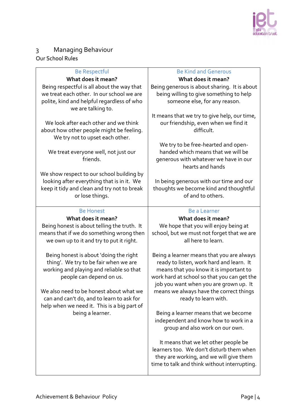

# <span id="page-3-0"></span>3 Managing Behaviour Our School Rules

| <b>Be Respectful</b>                        | <b>Be Kind and Generous</b>                  |
|---------------------------------------------|----------------------------------------------|
| What does it mean?                          | What does it mean?                           |
| Being respectful is all about the way that  | Being generous is about sharing. It is about |
| we treat each other. In our school we are   | being willing to give something to help      |
| polite, kind and helpful regardless of who  | someone else, for any reason.                |
| we are talking to.                          |                                              |
|                                             | It means that we try to give help, our time, |
| We look after each other and we think       | our friendship, even when we find it         |
| about how other people might be feeling.    | difficult.                                   |
| We try not to upset each other.             |                                              |
|                                             | We try to be free-hearted and open-          |
| We treat everyone well, not just our        | handed which means that we will be           |
| friends.                                    | generous with whatever we have in our        |
|                                             | hearts and hands                             |
| We show respect to our school building by   |                                              |
| looking after everything that is in it. We  | In being generous with our time and our      |
| keep it tidy and clean and try not to break | thoughts we become kind and thoughtful       |
| or lose things.                             | of and to others.                            |
|                                             |                                              |
| <b>Be Honest</b>                            | <b>Be a Learner</b>                          |
| What does it mean?                          | What does it mean?                           |
|                                             |                                              |
|                                             |                                              |
| Being honest is about telling the truth. It | We hope that you will enjoy being at         |
| means that if we do something wrong then    | school, but we must not forget that we are   |
| we own up to it and try to put it right.    | all here to learn.                           |
|                                             |                                              |
| Being honest is about 'doing the right      | Being a learner means that you are always    |
| thing'. We try to be fair when we are       | ready to listen, work hard and learn. It     |
| working and playing and reliable so that    | means that you know it is important to       |
| people can depend on us.                    | work hard at school so that you can get the  |
|                                             | job you want when you are grown up. It       |
| We also need to be honest about what we     | means we always have the correct things      |
| can and can't do, and to learn to ask for   | ready to learn with.                         |
| help when we need it. This is a big part of |                                              |
| being a learner.                            | Being a learner means that we become         |
|                                             | independent and know how to work in a        |
|                                             | group and also work on our own.              |
|                                             |                                              |
|                                             | It means that we let other people be         |
|                                             | learners too. We don't disturb them when     |
|                                             | they are working, and we will give them      |
|                                             | time to talk and think without interrupting. |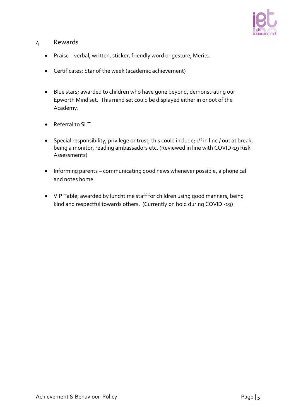

#### <span id="page-4-0"></span>4 Rewards

- Praise verbal, written, sticker, friendly word or gesture, Merits.
- Certificates; Star of the week (academic achievement)
- Blue stars; awarded to children who have gone beyond, demonstrating our Epworth Mind set. This mind set could be displayed either in or out of the Academy.
- Referral to SLT
- Special responsibility, privilege or trust, this could include;  $1<sup>st</sup>$  in line / out at break, being a monitor, reading ambassadors etc. (Reviewed in line with COVID-19 Risk Assessments)
- Informing parents communicating good news whenever possible, a phone call and notes home.
- VIP Table; awarded by lunchtime staff for children using good manners, being kind and respectful towards others. (Currently on hold during COVID -19)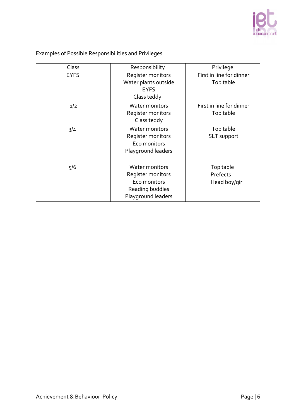

| Class       | Responsibility                                                                               | Privilege                              |
|-------------|----------------------------------------------------------------------------------------------|----------------------------------------|
| <b>EYFS</b> | Register monitors<br>Water plants outside<br><b>EYFS</b><br>Class teddy                      | First in line for dinner<br>Top table  |
| 1/2         | Water monitors<br>Register monitors<br>Class teddy                                           | First in line for dinner<br>Top table  |
| 3/4         | Water monitors<br>Register monitors<br>Eco monitors<br>Playground leaders                    | Top table<br><b>SLT</b> support        |
| 5/6         | Water monitors<br>Register monitors<br>Eco monitors<br>Reading buddies<br>Playground leaders | Top table<br>Prefects<br>Head boy/girl |

Examples of Possible Responsibilities and Privileges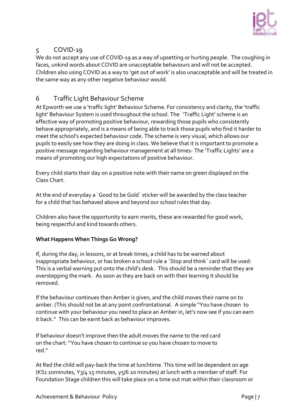

# <span id="page-6-0"></span>5 COVID-19

We do not accept any use of COVID-19 as a way of upsetting or hurting people. The coughing in faces, unkind words about COVID are unacceptable behaviours and will not be accepted. Children also using COVID as a way to 'get out of work' is also unacceptable and will be treated in the same way as any other negative behaviour would.

# <span id="page-6-1"></span>6 Traffic Light Behaviour Scheme

At Epworth we use a 'traffic light' Behaviour Scheme. For consistency and clarity, the 'traffic light' Behaviour System is used throughout the school. The 'Traffic Light' scheme is an effective way of promoting positive behaviour, rewarding those pupils who consistently behave appropriately, and is a means of being able to track those pupils who find it harder to meet the school's expected behaviour code. The scheme is very visual, which allows our pupils to easily see how they are doing in class. We believe that it is important to promote a positive message regarding behaviour management at all times- The 'Traffic Lights' are a means of promoting our high expectations of positive behaviour.

Every child starts their day on a positive note with their name on green displayed on the Class Chart.

At the end of everyday a `Good to be Gold` sticker will be awarded by the class teacher for a child that has behaved above and beyond our school rules that day.

Children also have the opportunity to earn merits, these are rewarded for good work, being respectful and kind towards others.

#### **What Happens When Things Go Wrong?**

If, during the day, in lessons, or at break times, a child has to be warned about inappropriate behaviour, or has broken a school rule a `Stop and think` card will be used: This is a verbal warning put onto the child's desk. This should be a reminder that they are overstepping the mark. As soon as they are back on with their learning it should be removed.

If the behaviour continues then Amber is given, and the child moves their name on to amber. (This should not be at any point confrontational. A simple "You have chosen to continue with your behaviour you need to place an Amber in, let's now see if you can earn it back." This can be earnt back as behaviour improves.

If behaviour doesn't improve then the adult moves the name to the red card on the chart: "You have chosen to continue so you have chosen to move to red."

At Red the child will pay-back the time at lunchtime. This time will be dependent on age (KS1 10minutes, Y3/4 15 minutes, y5/6 20 minutes) at lunch with a member of staff. For Foundation Stage children this will take place on a time out mat within their classroom or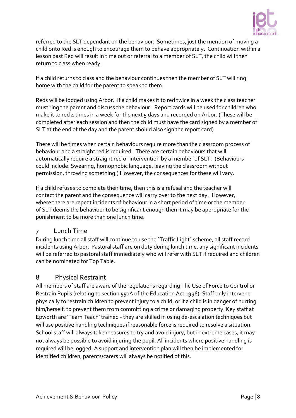

referred to the SLT dependant on the behaviour. Sometimes, just the mention of moving a child onto Red is enough to encourage them to behave appropriately. Continuation within a lesson past Red will result in time out or referral to a member of SLT, the child will then return to class when ready.

If a child returns to class and the behaviour continues then the member of SLT will ring home with the child for the parent to speak to them.

Reds will be logged using Arbor. If a child makes it to red twice in a week the class teacher must ring the parent and discuss the behaviour. Report cards will be used for children who make it to red 4 times in a week for the next 5 days and recorded on Arbor. (These will be completed after each session and then the child must have the card signed by a member of SLT at the end of the day and the parent should also sign the report card)

There will be times when certain behaviours require more than the classroom process of behaviour and a straight red is required. There are certain behaviours that will automatically require a straight red or intervention by a member of SLT. (Behaviours could include: Swearing, homophobic language, leaving the classroom without permission, throwing something.) However, the consequences for these will vary.

If a child refuses to complete their time, then this is a refusal and the teacher will contact the parent and the consequence will carry over to the next day. However, where there are repeat incidents of behaviour in a short period of time or the member of SLT deems the behaviour to be significant enough then it may be appropriate for the punishment to be more than one lunch time.

#### <span id="page-7-0"></span>7 Lunch Time

During lunch time all staff will continue to use the `Traffic Light` scheme, all staff record incidents using Arbor. Pastoral staff are on duty during lunch time, any significant incidents will be referred to pastoral staff immediately who will refer with SLT if required and children can be nominated for Top Table.

# <span id="page-7-1"></span>8 Physical Restraint

All members of staff are aware of the regulations regarding The Use of Force to Control or Restrain Pupils (relating to section 550A of the Education Act 1996). Staff only intervene physically to restrain children to prevent injury to a child, or if a child is in danger of hurting him/herself, to prevent them from committing a crime or damaging property. Key staff at Epworth are 'Team Teach' trained - they are skilled in using de-escalation techniques but will use positive handling techniques if reasonable force is required to resolve a situation. School staff will always take measures to try and avoid injury, but in extreme cases, it may not always be possible to avoid injuring the pupil. All incidents where positive handling is required will be logged. A support and intervention plan will then be implemented for identified children; parents/carers will always be notified of this.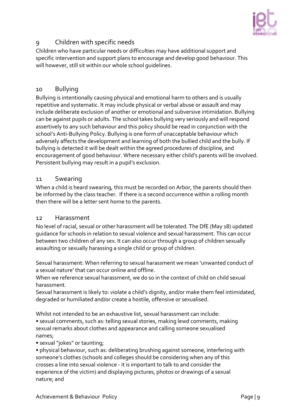

# <span id="page-8-0"></span>9 Children with specific needs

Children who have particular needs or difficulties may have additional support and specific intervention and support plans to encourage and develop good behaviour. This will however, still sit within our whole school guidelines.

#### <span id="page-8-1"></span>10 Bullying

Bullying is intentionally causing physical and emotional harm to others and is usually repetitive and systematic. It may include physical or verbal abuse or assault and may include deliberate exclusion of another or emotional and subversive intimidation. Bullying can be against pupils or adults. The school takes bullying very seriously and will respond assertively to any such behaviour and this policy should be read in conjunction with the school's Anti-Bullying Policy. Bullying is one form of unacceptable behaviour which adversely affects the development and learning of both the bullied child and the bully. If bullying is detected it will be dealt within the agreed procedures of discipline, and encouragement of good behaviour. Where necessary either child's parents will be involved. Persistent bullying may result in a pupil's exclusion.

#### <span id="page-8-2"></span>11 Swearing

When a child is heard swearing, this must be recorded on Arbor, the parents should then be informed by the class teacher. If there is a second occurrence within a rolling month then there will be a letter sent home to the parents.

#### <span id="page-8-3"></span>12 Harassment

No level of racial, sexual or other harassment will be tolerated. The DfE (May 18) updated guidance for schools in relation to sexual violence and sexual harassment. This can occur between two children of any sex. It can also occur through a group of children sexually assaulting or sexually harassing a single child or group of children.

Sexual harassment: When referring to sexual harassment we mean 'unwanted conduct of a sexual nature' that can occur online and offline.

When we reference sexual harassment, we do so in the context of child on child sexual harassment.

Sexual harassment is likely to: violate a child's dignity, and/or make them feel intimidated, degraded or humiliated and/or create a hostile, offensive or sexualised.

Whilst not intended to be an exhaustive list, sexual harassment can include: • sexual comments, such as: telling sexual stories, making lewd comments, making sexual remarks about clothes and appearance and calling someone sexualised names;

• sexual "jokes" or taunting;

• physical behaviour, such as: deliberating brushing against someone, interfering with someone's clothes (schools and colleges should be considering when any of this crosses a line into sexual violence - it is important to talk to and consider the experience of the victim) and displaying pictures, photos or drawings of a sexual nature; and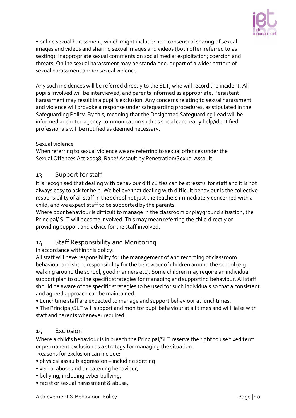

• online sexual harassment, which might include: non-consensual sharing of sexual images and videos and sharing sexual images and videos (both often referred to as sexting); inappropriate sexual comments on social media; exploitation; coercion and threats. Online sexual harassment may be standalone, or part of a wider pattern of sexual harassment and/or sexual violence.

Any such incidences will be referred directly to the SLT, who will record the incident. All pupils involved will be interviewed, and parents informed as appropriate. Persistent harassment may result in a pupil's exclusion. Any concerns relating to sexual harassment and violence will provoke a response under safeguarding procedures, as stipulated in the Safeguarding Policy. By this, meaning that the Designated Safeguarding Lead will be informed and inter-agency communication such as social care, early help/identified professionals will be notified as deemed necessary.

#### Sexual violence

When referring to sexual violence we are referring to sexual offences under the Sexual Offences Act 20038; Rape/ Assault by Penetration/Sexual Assault.

#### <span id="page-9-0"></span>13 Support for staff

It is recognised that dealing with behaviour difficulties can be stressful for staff and it is not always easy to ask for help. We believe that dealing with difficult behaviour is the collective responsibility of all staff in the school not just the teachers immediately concerned with a child, and we expect staff to be supported by the parents.

Where poor behaviour is difficult to manage in the classroom or playground situation, the Principal/ SLT will become involved. This may mean referring the child directly or providing support and advice for the staff involved.

#### <span id="page-9-1"></span>14 Staff Responsibility and Monitoring

#### In accordance within this policy:

All staff will have responsibility for the management of and recording of classroom behaviour and share responsibility for the behaviour of children around the school (e.g. walking around the school, good manners etc). Some children may require an individual support plan to outline specific strategies for managing and supporting behaviour. All staff should be aware of the specific strategies to be used for such individuals so that a consistent and agreed approach can be maintained.

• Lunchtime staff are expected to manage and support behaviour at lunchtimes.

• The Principal/SLT will support and monitor pupil behaviour at all times and will liaise with staff and parents whenever required.

#### <span id="page-9-2"></span>15 Exclusion

Where a child's behaviour is in breach the Principal/SLT reserve the right to use fixed term or permanent exclusion as a strategy for managing the situation. Reasons for exclusion can include:

- physical assault/ aggression including spitting
- verbal abuse and threatening behaviour,
- bullying, including cyber bullying,
- racist or sexual harassment & abuse,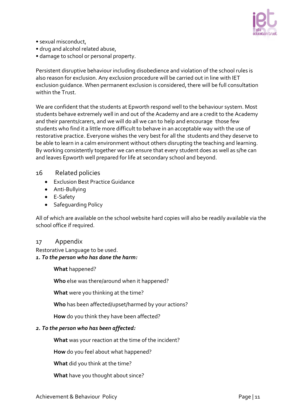

- sexual misconduct,
- drug and alcohol related abuse,
- damage to school or personal property.

Persistent disruptive behaviour including disobedience and violation of the school rules is also reason for exclusion. Any exclusion procedure will be carried out in line with IET exclusion guidance. When permanent exclusion is considered, there will be full consultation within the Trust.

We are confident that the students at Epworth respond well to the behaviour system. Most students behave extremely well in and out of the Academy and are a credit to the Academy and their parents/carers, and we will do all we can to help and encourage those few students who find it a little more difficult to behave in an acceptable way with the use of restorative practice. Everyone wishes the very best for all the students and they deserve to be able to learn in a calm environment without others disrupting the teaching and learning. By working consistently together we can ensure that every student does as well as s/he can and leaves Epworth well prepared for life at secondary school and beyond.

#### <span id="page-10-0"></span>16 Related policies

- Exclusion Best Practice Guidance
- Anti-Bullying
- E-Safety
- Safeguarding Policy

All of which are available on the school website hard copies will also be readily available via the school office if required.

#### <span id="page-10-1"></span>17 Appendix

Restorative Language to be used. *1. To the person who has done the harm:*

**What** happened?

**Who** else was there/around when it happened?

**What** were you thinking at the time?

**Who** has been affected/upset/harmed by your actions?

**How** do you think they have been affected?

#### *2. To the person who has been affected:*

**What** was your reaction at the time of the incident?

**How** do you feel about what happened?

**What** did you think at the time?

**What** have you thought about since?